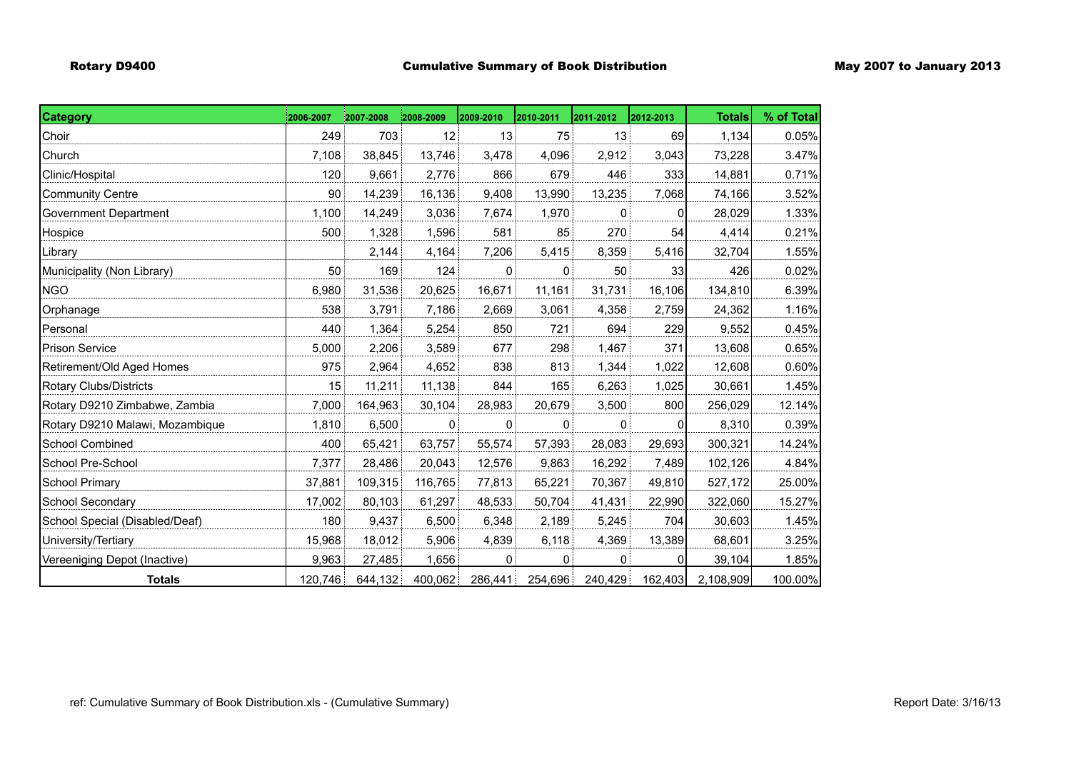| <b>Category</b>                 | 2006-2007 | 2007-2008 | 12008-2009  | 2009-2010    | 2010-2011 | 2011-2012 | 2012-2013 | <b>Totals</b> | % of Total |
|---------------------------------|-----------|-----------|-------------|--------------|-----------|-----------|-----------|---------------|------------|
| Choir                           | 249       | 703       | 12          | 13           | 75        | 13        | 69        | 1,134         | 0.05%      |
| Church                          | 7,108     | 38,845    | 13,746      | 3,478        | 4,096     | 2,912     | 3,043     | 73,228        | 3.47%      |
| Clinic/Hospital                 | 120       | 9,661     | 2,776       | 866          | 679       | 446       | 333       | 14,881        | 0.71%      |
| <b>Community Centre</b>         | 90        | 14,239    | 16,136      | 9,408        | 13,990    | 13,235    | 7,068     | 74,166        | 3.52%      |
| Government Department           | 1,100     | 14,249    | 3,036       | 7,674        | 1,970     | $\Omega$  | 01        | 28,029        | 1.33%      |
| Hospice                         | 500       | 1,328     | 1,596       | 581          | 85        | 270       | 54        | 4,414         | 0.21%      |
| Library                         |           | 2,144     | 4,164       | 7,206        | 5,415     | 8,359     | 5,416     | 32,704        | 1.55%      |
| Municipality (Non Library)      | 50        | 169       | 124         | $\mathbf{0}$ | 0         | 50        | 33        | 426           | 0.02%      |
| <b>NGO</b>                      | 6,980     | 31,536    | 20,625      | 16,671       | 11,161    | 31,731    | 16,106    | 134,810       | 6.39%      |
| Orphanage                       | 538       | 3,791     | 7,186       | 2,669        | 3,061     | 4,358     | 2,759     | 24,362        | 1.16%      |
| Personal                        | 440       | 1,364     | 5,254       | 850          | 721       | 694       | 229       | 9,552         | 0.45%      |
| <b>Prison Service</b>           | 5,000     | 2,206     | 3,589       | 677          | 298       | 1,467     | 371       | 13,608        | 0.65%      |
| Retirement/Old Aged Homes       | 975       | 2,964     | 4,652       | 838          | 813       | 1,344     | 1,022     | 12,608        | 0.60%      |
| Rotary Clubs/Districts          | 15        | 11,211    | 11,138      | 844          | 165       | 6,263     | 1,025     | 30,661        | 1.45%      |
| Rotary D9210 Zimbabwe, Zambia   | 7,000     | 164,963   | 30,104      | 28,983       | 20,679    | 3,500     | 800       | 256,029       | 12.14%     |
| Rotary D9210 Malawi, Mozambique | 1,810     | 6,500     | $\mathbf 0$ | $\mathbf{0}$ | 0         | $\Omega$  | 01        | 8,310         | 0.39%      |
| School Combined                 | 400       | 65,421    | 63,757      | 55,574       | 57,393    | 28,083    | 29,693    | 300,321       | 14.24%     |
| School Pre-School               | 7,377     | 28,486    | 20,043      | 12,576       | 9,863     | 16,292    | 7,489     | 102,126       | 4.84%      |
| School Primary                  | 37,881    | 109,315   | 116,765     | 77,813       | 65,221    | 70,367    | 49,810    | 527,172       | 25.00%     |
| School Secondary                | 17,002    | 80,103    | 61,297      | 48,533       | 50,704    | 41,431    | 22,990    | 322,060       | 15.27%     |
| School Special (Disabled/Deaf)  | 180       | 9,437     | 6,500       | 6,348        | 2,189     | 5,245     | 704       | 30,603        | 1.45%      |
| University/Tertiary             | 15,968    | 18,012    | 5,906       | 4,839        | 6,118     | 4,369     | 13,389    | 68,601        | 3.25%      |
| Vereeniging Depot (Inactive)    | 9,963     | 27,485    | 1,656       | 0            | 0         | $\Omega$  | 01        | 39,104        | 1.85%      |
| <b>Totals</b>                   | 120,746   | 644,132   | 400,062     | 286,441      | 254,696   | 240,429   | 162,403   | 2,108,909     | 100.00%    |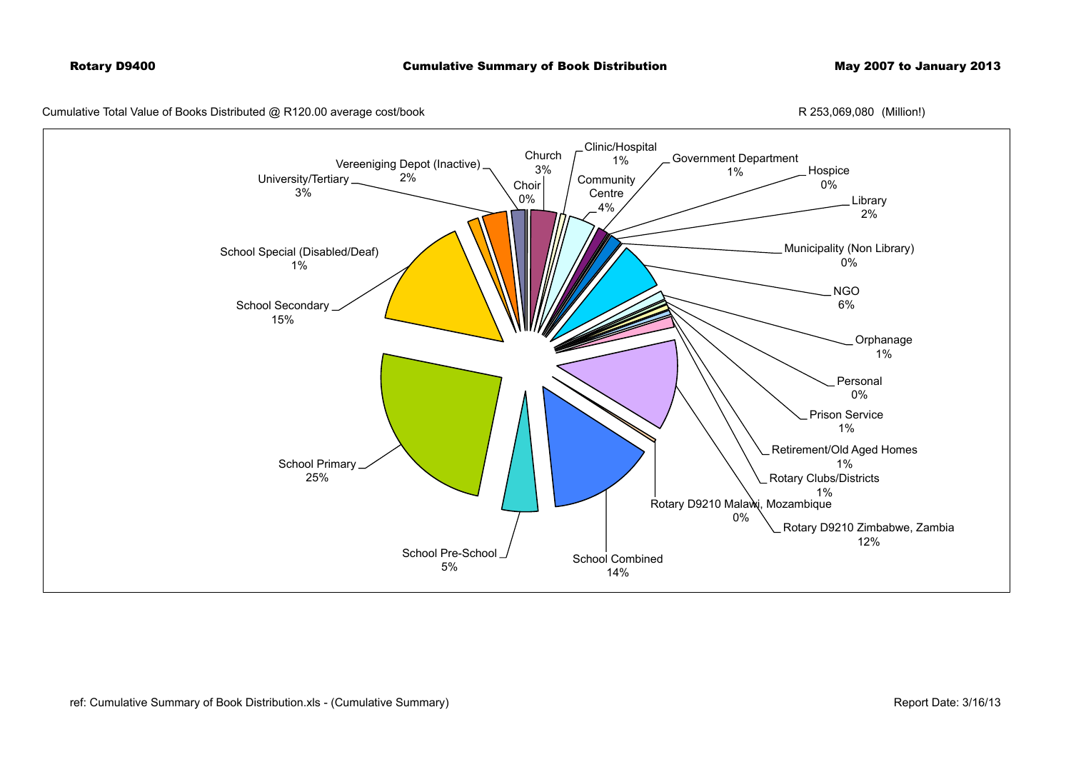